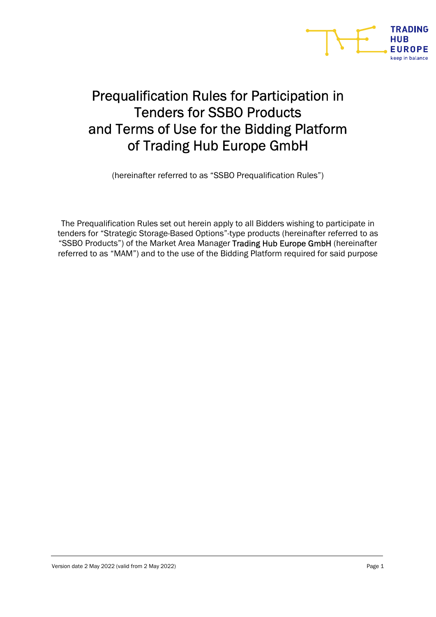

# Prequalification Rules for Participation in Tenders for SSBO Products and Terms of Use for the Bidding Platform of Trading Hub Europe GmbH

(hereinafter referred to as "SSBO Prequalification Rules")

The Prequalification Rules set out herein apply to all Bidders wishing to participate in tenders for "Strategic Storage-Based Options"-type products (hereinafter referred to as "SSBO Products") of the Market Area Manager Trading Hub Europe GmbH (hereinafter referred to as "MAM") and to the use of the Bidding Platform required for said purpose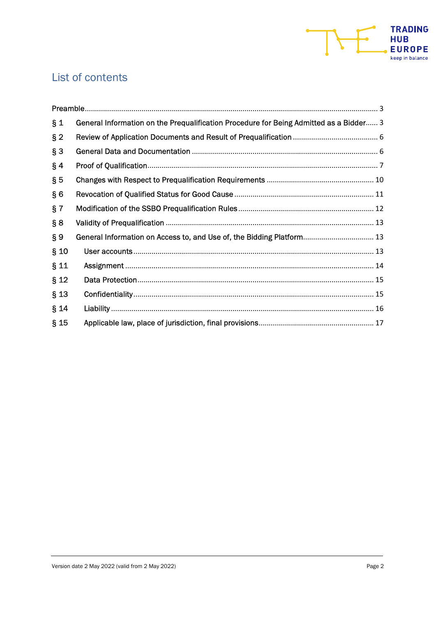

## List of contents

| $\S_1$ | General Information on the Prequalification Procedure for Being Admitted as a Bidder 3 |
|--------|----------------------------------------------------------------------------------------|
| $§$ 2  |                                                                                        |
| $§$ 3  |                                                                                        |
| $§$ 4  |                                                                                        |
| $\S5$  |                                                                                        |
| § 6    |                                                                                        |
| § 7    |                                                                                        |
| § 8    |                                                                                        |
| $\S 9$ | General Information on Access to, and Use of, the Bidding Platform 13                  |
| $§$ 10 |                                                                                        |
| § 11   |                                                                                        |
| $§$ 12 |                                                                                        |
| $§$ 13 |                                                                                        |
| § 14   |                                                                                        |
| $§$ 15 |                                                                                        |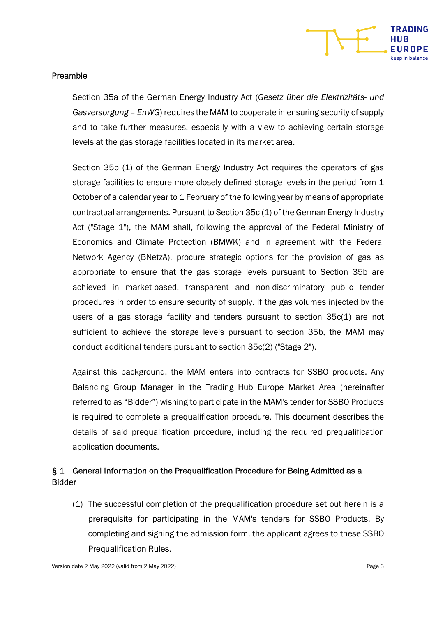

#### Preamble

Section 35a of the German Energy Industry Act (Gesetz über die Elektrizitäts- und Gasversorgung – EnWG) requires the MAM to cooperate in ensuring security of supply and to take further measures, especially with a view to achieving certain storage levels at the gas storage facilities located in its market area.

Section 35b (1) of the German Energy Industry Act requires the operators of gas storage facilities to ensure more closely defined storage levels in the period from 1 October of a calendar year to 1 February of the following year by means of appropriate contractual arrangements. Pursuant to Section 35c (1) of the German Energy Industry Act ("Stage 1"), the MAM shall, following the approval of the Federal Ministry of Economics and Climate Protection (BMWK) and in agreement with the Federal Network Agency (BNetzA), procure strategic options for the provision of gas as appropriate to ensure that the gas storage levels pursuant to Section 35b are achieved in market-based, transparent and non-discriminatory public tender procedures in order to ensure security of supply. If the gas volumes injected by the users of a gas storage facility and tenders pursuant to section 35c(1) are not sufficient to achieve the storage levels pursuant to section 35b, the MAM may conduct additional tenders pursuant to section 35c(2) ("Stage 2").

Against this background, the MAM enters into contracts for SSBO products. Any Balancing Group Manager in the Trading Hub Europe Market Area (hereinafter referred to as "Bidder") wishing to participate in the MAM's tender for SSBO Products is required to complete a prequalification procedure. This document describes the details of said prequalification procedure, including the required prequalification application documents.

## § 1 General Information on the Prequalification Procedure for Being Admitted as a Bidder

(1) The successful completion of the prequalification procedure set out herein is a prerequisite for participating in the MAM's tenders for SSBO Products. By completing and signing the admission form, the applicant agrees to these SSBO Prequalification Rules.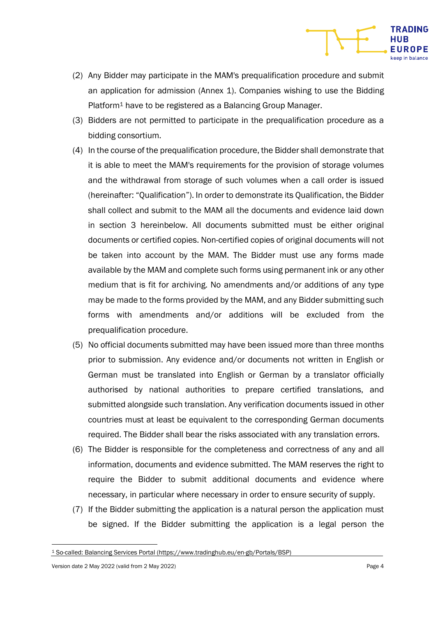

- (2) Any Bidder may participate in the MAM's prequalification procedure and submit an application for admission (Annex 1). Companies wishing to use the Bidding Platform<sup>1</sup> have to be registered as a Balancing Group Manager.
- (3) Bidders are not permitted to participate in the prequalification procedure as a bidding consortium.
- (4) In the course of the prequalification procedure, the Bidder shall demonstrate that it is able to meet the MAM's requirements for the provision of storage volumes and the withdrawal from storage of such volumes when a call order is issued (hereinafter: "Qualification"). In order to demonstrate its Qualification, the Bidder shall collect and submit to the MAM all the documents and evidence laid down in section 3 hereinbelow. All documents submitted must be either original documents or certified copies. Non-certified copies of original documents will not be taken into account by the MAM. The Bidder must use any forms made available by the MAM and complete such forms using permanent ink or any other medium that is fit for archiving. No amendments and/or additions of any type may be made to the forms provided by the MAM, and any Bidder submitting such forms with amendments and/or additions will be excluded from the prequalification procedure.
- (5) No official documents submitted may have been issued more than three months prior to submission. Any evidence and/or documents not written in English or German must be translated into English or German by a translator officially authorised by national authorities to prepare certified translations, and submitted alongside such translation. Any verification documents issued in other countries must at least be equivalent to the corresponding German documents required. The Bidder shall bear the risks associated with any translation errors.
- (6) The Bidder is responsible for the completeness and correctness of any and all information, documents and evidence submitted. The MAM reserves the right to require the Bidder to submit additional documents and evidence where necessary, in particular where necessary in order to ensure security of supply.
- (7) If the Bidder submitting the application is a natural person the application must be signed. If the Bidder submitting the application is a legal person the

<sup>1</sup> So-called: Balancing Services Portal (https://www.tradinghub.eu/en-gb/Portals/BSP)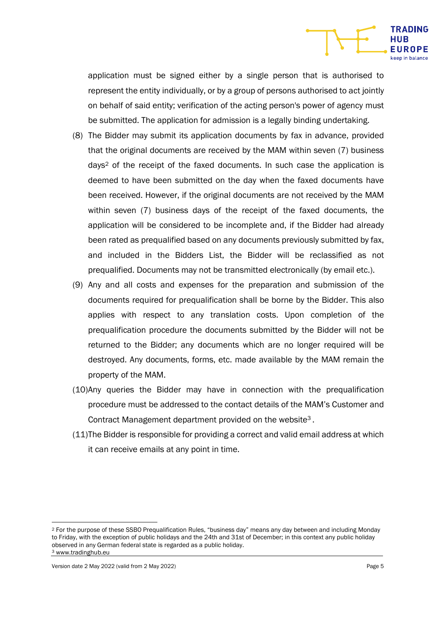

application must be signed either by a single person that is authorised to represent the entity individually, or by a group of persons authorised to act jointly on behalf of said entity; verification of the acting person's power of agency must be submitted. The application for admission is a legally binding undertaking.

- (8) The Bidder may submit its application documents by fax in advance, provided that the original documents are received by the MAM within seven (7) business days2 of the receipt of the faxed documents. In such case the application is deemed to have been submitted on the day when the faxed documents have been received. However, if the original documents are not received by the MAM within seven (7) business days of the receipt of the faxed documents, the application will be considered to be incomplete and, if the Bidder had already been rated as prequalified based on any documents previously submitted by fax, and included in the Bidders List, the Bidder will be reclassified as not prequalified. Documents may not be transmitted electronically (by email etc.).
- (9) Any and all costs and expenses for the preparation and submission of the documents required for prequalification shall be borne by the Bidder. This also applies with respect to any translation costs. Upon completion of the prequalification procedure the documents submitted by the Bidder will not be returned to the Bidder; any documents which are no longer required will be destroyed. Any documents, forms, etc. made available by the MAM remain the property of the MAM.
- (10) Any queries the Bidder may have in connection with the prequalification procedure must be addressed to the contact details of the MAM's Customer and Contract Management department provided on the website3 .
- (11) The Bidder is responsible for providing a correct and valid email address at which it can receive emails at any point in time.

Version date 2 May 2022 (valid from 2 May 2022) Page 5

<sup>2</sup> For the purpose of these SSBO Prequalification Rules, "business day" means any day between and including Monday to Friday, with the exception of public holidays and the 24th and 31st of December; in this context any public holiday observed in any German federal state is regarded as a public holiday. 3 www.tradinghub.eu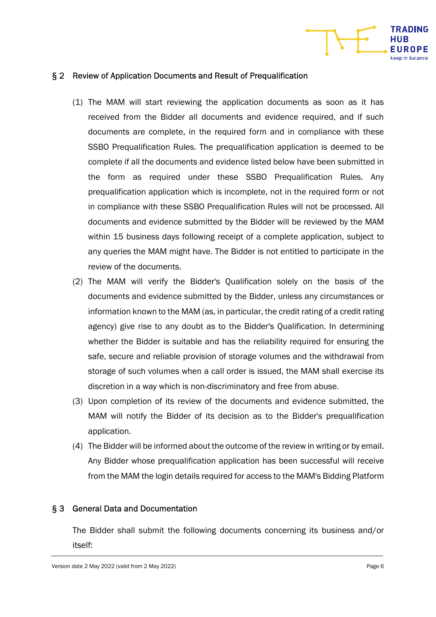

#### § 2 Review of Application Documents and Result of Prequalification

- (1) The MAM will start reviewing the application documents as soon as it has received from the Bidder all documents and evidence required, and if such documents are complete, in the required form and in compliance with these SSBO Prequalification Rules. The prequalification application is deemed to be complete if all the documents and evidence listed below have been submitted in the form as required under these SSBO Prequalification Rules. Any prequalification application which is incomplete, not in the required form or not in compliance with these SSBO Prequalification Rules will not be processed. All documents and evidence submitted by the Bidder will be reviewed by the MAM within 15 business days following receipt of a complete application, subject to any queries the MAM might have. The Bidder is not entitled to participate in the review of the documents.
- (2) The MAM will verify the Bidder's Qualification solely on the basis of the documents and evidence submitted by the Bidder, unless any circumstances or information known to the MAM (as, in particular, the credit rating of a credit rating agency) give rise to any doubt as to the Bidder's Qualification. In determining whether the Bidder is suitable and has the reliability required for ensuring the safe, secure and reliable provision of storage volumes and the withdrawal from storage of such volumes when a call order is issued, the MAM shall exercise its discretion in a way which is non-discriminatory and free from abuse.
- (3) Upon completion of its review of the documents and evidence submitted, the MAM will notify the Bidder of its decision as to the Bidder's prequalification application.
- (4) The Bidder will be informed about the outcome of the review in writing or by email. Any Bidder whose prequalification application has been successful will receive from the MAM the login details required for access to the MAM's Bidding Platform

#### § 3 General Data and Documentation

The Bidder shall submit the following documents concerning its business and/or itself: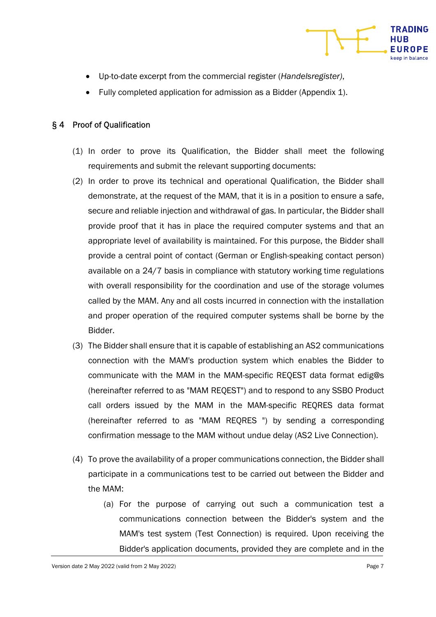

- Up-to-date excerpt from the commercial register (Handelsregister),
- Fully completed application for admission as a Bidder (Appendix 1).

### § 4 Proof of Qualification

- (1) In order to prove its Qualification, the Bidder shall meet the following requirements and submit the relevant supporting documents:
- (2) In order to prove its technical and operational Qualification, the Bidder shall demonstrate, at the request of the MAM, that it is in a position to ensure a safe, secure and reliable injection and withdrawal of gas. In particular, the Bidder shall provide proof that it has in place the required computer systems and that an appropriate level of availability is maintained. For this purpose, the Bidder shall provide a central point of contact (German or English-speaking contact person) available on a 24/7 basis in compliance with statutory working time regulations with overall responsibility for the coordination and use of the storage volumes called by the MAM. Any and all costs incurred in connection with the installation and proper operation of the required computer systems shall be borne by the Bidder.
- (3) The Bidder shall ensure that it is capable of establishing an AS2 communications connection with the MAM's production system which enables the Bidder to communicate with the MAM in the MAM-specific REQEST data format edig@s (hereinafter referred to as "MAM REQEST") and to respond to any SSBO Product call orders issued by the MAM in the MAM-specific REQRES data format (hereinafter referred to as "MAM REQRES ") by sending a corresponding confirmation message to the MAM without undue delay (AS2 Live Connection).
- (4) To prove the availability of a proper communications connection, the Bidder shall participate in a communications test to be carried out between the Bidder and the MAM:
	- (a) For the purpose of carrying out such a communication test a communications connection between the Bidder's system and the MAM's test system (Test Connection) is required. Upon receiving the Bidder's application documents, provided they are complete and in the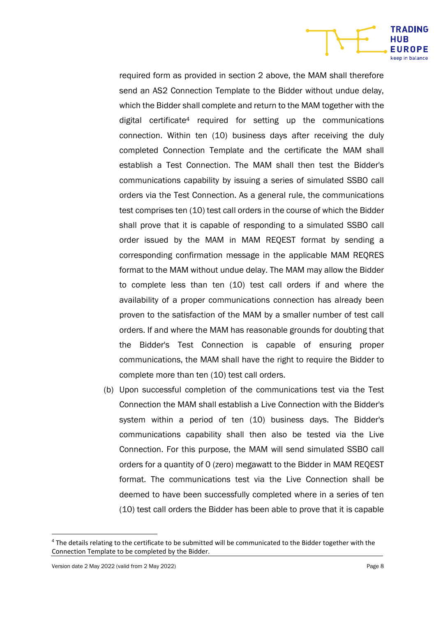required form as provided in section 2 above, the MAM shall therefore send an AS2 Connection Template to the Bidder without undue delay, which the Bidder shall complete and return to the MAM together with the digital certificate4 required for setting up the communications connection. Within ten (10) business days after receiving the duly completed Connection Template and the certificate the MAM shall establish a Test Connection. The MAM shall then test the Bidder's communications capability by issuing a series of simulated SSBO call orders via the Test Connection. As a general rule, the communications test comprises ten (10) test call orders in the course of which the Bidder shall prove that it is capable of responding to a simulated SSBO call order issued by the MAM in MAM REQEST format by sending a corresponding confirmation message in the applicable MAM REQRES format to the MAM without undue delay. The MAM may allow the Bidder to complete less than ten (10) test call orders if and where the availability of a proper communications connection has already been proven to the satisfaction of the MAM by a smaller number of test call orders. If and where the MAM has reasonable grounds for doubting that the Bidder's Test Connection is capable of ensuring proper communications, the MAM shall have the right to require the Bidder to complete more than ten (10) test call orders.

(b) Upon successful completion of the communications test via the Test Connection the MAM shall establish a Live Connection with the Bidder's system within a period of ten (10) business days. The Bidder's communications capability shall then also be tested via the Live Connection. For this purpose, the MAM will send simulated SSBO call orders for a quantity of 0 (zero) megawatt to the Bidder in MAM REQEST format. The communications test via the Live Connection shall be deemed to have been successfully completed where in a series of ten (10) test call orders the Bidder has been able to prove that it is capable

**TRADING HUB EUROPE** 

<sup>&</sup>lt;sup>4</sup> The details relating to the certificate to be submitted will be communicated to the Bidder together with the Connection Template to be completed by the Bidder.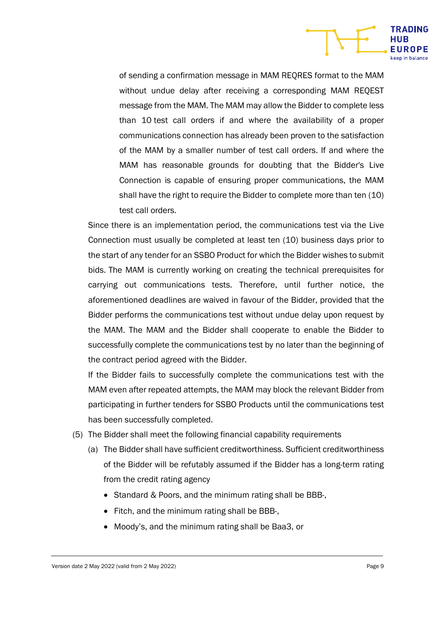

of sending a confirmation message in MAM REQRES format to the MAM without undue delay after receiving a corresponding MAM REQEST message from the MAM. The MAM may allow the Bidder to complete less than 10 test call orders if and where the availability of a proper communications connection has already been proven to the satisfaction of the MAM by a smaller number of test call orders. If and where the MAM has reasonable grounds for doubting that the Bidder's Live Connection is capable of ensuring proper communications, the MAM shall have the right to require the Bidder to complete more than ten (10) test call orders.

Since there is an implementation period, the communications test via the Live Connection must usually be completed at least ten (10) business days prior to the start of any tender for an SSBO Product for which the Bidder wishes to submit bids. The MAM is currently working on creating the technical prerequisites for carrying out communications tests. Therefore, until further notice, the aforementioned deadlines are waived in favour of the Bidder, provided that the Bidder performs the communications test without undue delay upon request by the MAM. The MAM and the Bidder shall cooperate to enable the Bidder to successfully complete the communications test by no later than the beginning of the contract period agreed with the Bidder.

If the Bidder fails to successfully complete the communications test with the MAM even after repeated attempts, the MAM may block the relevant Bidder from participating in further tenders for SSBO Products until the communications test has been successfully completed.

- (5) The Bidder shall meet the following financial capability requirements
	- (a) The Bidder shall have sufficient creditworthiness. Sufficient creditworthiness of the Bidder will be refutably assumed if the Bidder has a long-term rating from the credit rating agency
		- Standard & Poors, and the minimum rating shall be BBB-,
		- Fitch, and the minimum rating shall be BBB-,
		- Moody's, and the minimum rating shall be Baa3, or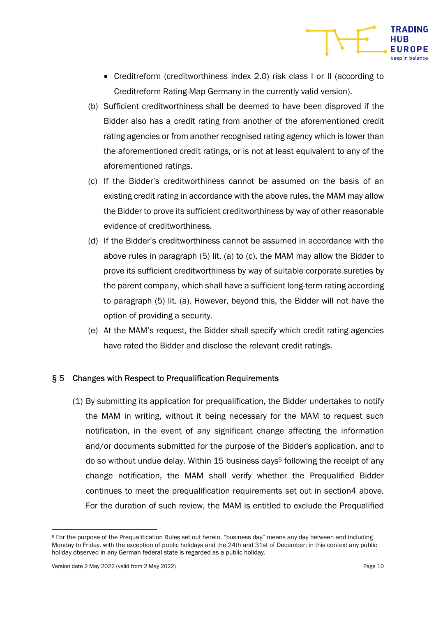- Creditreform (creditworthiness index 2.0) risk class I or II (according to Creditreform Rating-Map Germany in the currently valid version).
- (b) Sufficient creditworthiness shall be deemed to have been disproved if the Bidder also has a credit rating from another of the aforementioned credit rating agencies or from another recognised rating agency which is lower than the aforementioned credit ratings, or is not at least equivalent to any of the aforementioned ratings.
- (c) If the Bidder's creditworthiness cannot be assumed on the basis of an existing credit rating in accordance with the above rules, the MAM may allow the Bidder to prove its sufficient creditworthiness by way of other reasonable evidence of creditworthiness.
- (d) If the Bidder's creditworthiness cannot be assumed in accordance with the above rules in paragraph (5) lit. (a) to (c), the MAM may allow the Bidder to prove its sufficient creditworthiness by way of suitable corporate sureties by the parent company, which shall have a sufficient long-term rating according to paragraph (5) lit. (a). However, beyond this, the Bidder will not have the option of providing a security.
- (e) At the MAM's request, the Bidder shall specify which credit rating agencies have rated the Bidder and disclose the relevant credit ratings.

#### § 5 Changes with Respect to Prequalification Requirements

(1) By submitting its application for prequalification, the Bidder undertakes to notify the MAM in writing, without it being necessary for the MAM to request such notification, in the event of any significant change affecting the information and/or documents submitted for the purpose of the Bidder's application, and to do so without undue delay. Within 15 business days<sup>5</sup> following the receipt of any change notification, the MAM shall verify whether the Prequalified Bidder continues to meet the prequalification requirements set out in section4 above. For the duration of such review, the MAM is entitled to exclude the Prequalified

**TRADING** 

**EUROPE** 

<sup>5</sup> For the purpose of the Prequalification Rules set out herein, "business day" means any day between and including Monday to Friday, with the exception of public holidays and the 24th and 31st of December; in this context any public holiday observed in any German federal state is regarded as a public holiday.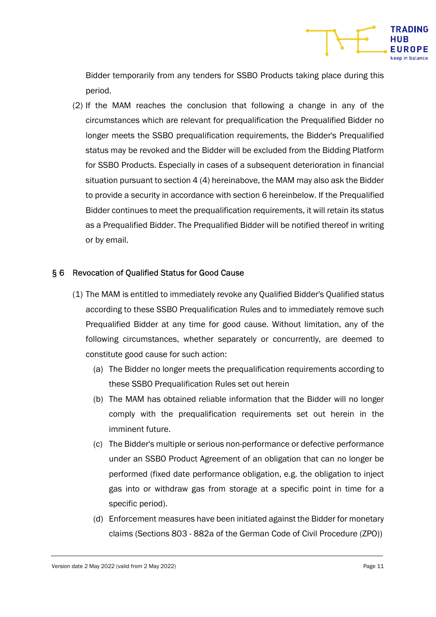

Bidder temporarily from any tenders for SSBO Products taking place during this period.

(2) If the MAM reaches the conclusion that following a change in any of the circumstances which are relevant for prequalification the Prequalified Bidder no longer meets the SSBO prequalification requirements, the Bidder's Prequalified status may be revoked and the Bidder will be excluded from the Bidding Platform for SSBO Products. Especially in cases of a subsequent deterioration in financial situation pursuant to section 4 (4) hereinabove, the MAM may also ask the Bidder to provide a security in accordance with section 6 hereinbelow. If the Prequalified Bidder continues to meet the prequalification requirements, it will retain its status as a Prequalified Bidder. The Prequalified Bidder will be notified thereof in writing or by email.

#### § 6 Revocation of Qualified Status for Good Cause

- (1) The MAM is entitled to immediately revoke any Qualified Bidder's Qualified status according to these SSBO Prequalification Rules and to immediately remove such Prequalified Bidder at any time for good cause. Without limitation, any of the following circumstances, whether separately or concurrently, are deemed to constitute good cause for such action:
	- (a) The Bidder no longer meets the prequalification requirements according to these SSBO Prequalification Rules set out herein
	- (b) The MAM has obtained reliable information that the Bidder will no longer comply with the prequalification requirements set out herein in the imminent future.
	- (c) The Bidder's multiple or serious non-performance or defective performance under an SSBO Product Agreement of an obligation that can no longer be performed (fixed date performance obligation, e.g. the obligation to inject gas into or withdraw gas from storage at a specific point in time for a specific period).
	- (d) Enforcement measures have been initiated against the Bidder for monetary claims (Sections 803 - 882a of the German Code of Civil Procedure (ZPO))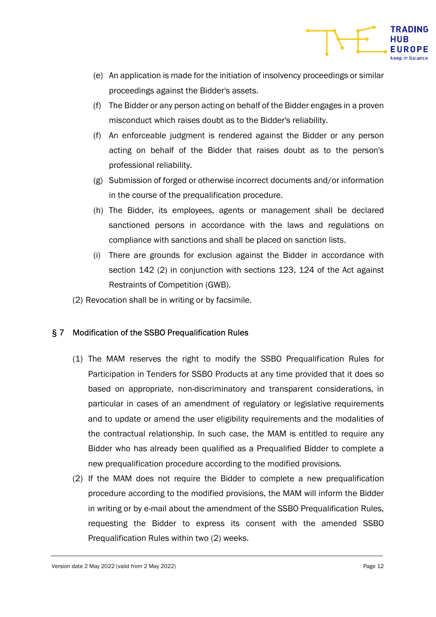

- (e) An application is made for the initiation of insolvency proceedings or similar proceedings against the Bidder's assets.
- (f) The Bidder or any person acting on behalf of the Bidder engages in a proven misconduct which raises doubt as to the Bidder's reliability.
- (f) An enforceable judgment is rendered against the Bidder or any person acting on behalf of the Bidder that raises doubt as to the person's professional reliability.
- (g) Submission of forged or otherwise incorrect documents and/or information in the course of the prequalification procedure.
- (h) The Bidder, its employees, agents or management shall be declared sanctioned persons in accordance with the laws and regulations on compliance with sanctions and shall be placed on sanction lists.
- (i) There are grounds for exclusion against the Bidder in accordance with section 142 (2) in conjunction with sections 123, 124 of the Act against Restraints of Competition (GWB).
- (2) Revocation shall be in writing or by facsimile.

## § 7 Modification of the SSBO Prequalification Rules

- (1) The MAM reserves the right to modify the SSBO Prequalification Rules for Participation in Tenders for SSBO Products at any time provided that it does so based on appropriate, non-discriminatory and transparent considerations, in particular in cases of an amendment of regulatory or legislative requirements and to update or amend the user eligibility requirements and the modalities of the contractual relationship. In such case, the MAM is entitled to require any Bidder who has already been qualified as a Prequalified Bidder to complete a new prequalification procedure according to the modified provisions.
- (2) If the MAM does not require the Bidder to complete a new prequalification procedure according to the modified provisions, the MAM will inform the Bidder in writing or by e-mail about the amendment of the SSBO Prequalification Rules, requesting the Bidder to express its consent with the amended SSBO Prequalification Rules within two (2) weeks.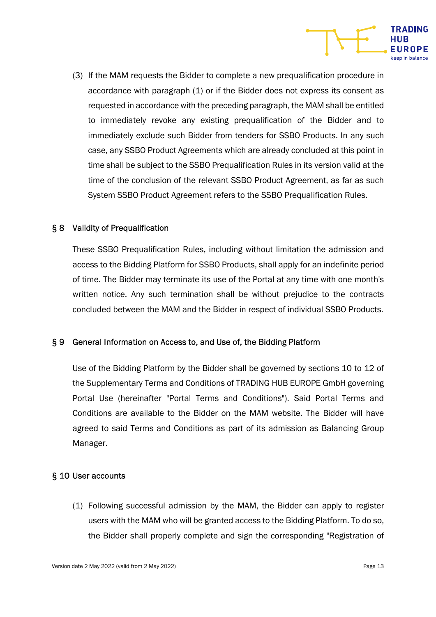

(3) If the MAM requests the Bidder to complete a new prequalification procedure in accordance with paragraph (1) or if the Bidder does not express its consent as requested in accordance with the preceding paragraph, the MAM shall be entitled to immediately revoke any existing prequalification of the Bidder and to immediately exclude such Bidder from tenders for SSBO Products. In any such case, any SSBO Product Agreements which are already concluded at this point in time shall be subject to the SSBO Prequalification Rules in its version valid at the time of the conclusion of the relevant SSBO Product Agreement, as far as such System SSBO Product Agreement refers to the SSBO Prequalification Rules.

#### § 8 Validity of Prequalification

These SSBO Prequalification Rules, including without limitation the admission and access to the Bidding Platform for SSBO Products, shall apply for an indefinite period of time. The Bidder may terminate its use of the Portal at any time with one month's written notice. Any such termination shall be without prejudice to the contracts concluded between the MAM and the Bidder in respect of individual SSBO Products.

#### § 9 General Information on Access to, and Use of, the Bidding Platform

Use of the Bidding Platform by the Bidder shall be governed by sections 10 to 12 of the Supplementary Terms and Conditions of TRADING HUB EUROPE GmbH governing Portal Use (hereinafter "Portal Terms and Conditions"). Said Portal Terms and Conditions are available to the Bidder on the MAM website. The Bidder will have agreed to said Terms and Conditions as part of its admission as Balancing Group Manager.

#### § 10 User accounts

(1) Following successful admission by the MAM, the Bidder can apply to register users with the MAM who will be granted access to the Bidding Platform. To do so, the Bidder shall properly complete and sign the corresponding "Registration of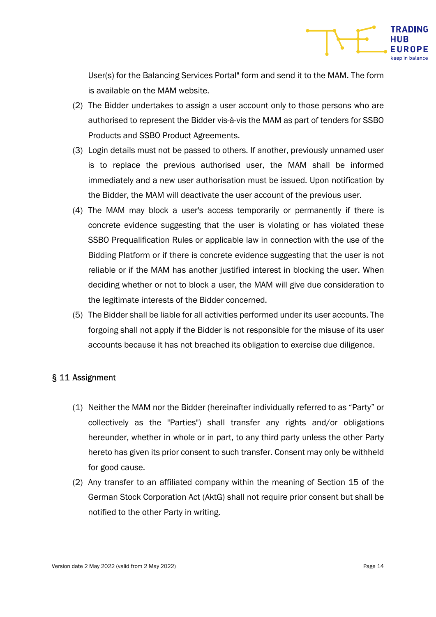

User(s) for the Balancing Services Portal" form and send it to the MAM. The form is available on the MAM website.

- (2) The Bidder undertakes to assign a user account only to those persons who are authorised to represent the Bidder vis-à-vis the MAM as part of tenders for SSBO Products and SSBO Product Agreements.
- (3) Login details must not be passed to others. If another, previously unnamed user is to replace the previous authorised user, the MAM shall be informed immediately and a new user authorisation must be issued. Upon notification by the Bidder, the MAM will deactivate the user account of the previous user.
- (4) The MAM may block a user's access temporarily or permanently if there is concrete evidence suggesting that the user is violating or has violated these SSBO Prequalification Rules or applicable law in connection with the use of the Bidding Platform or if there is concrete evidence suggesting that the user is not reliable or if the MAM has another justified interest in blocking the user. When deciding whether or not to block a user, the MAM will give due consideration to the legitimate interests of the Bidder concerned.
- (5) The Bidder shall be liable for all activities performed under its user accounts. The forgoing shall not apply if the Bidder is not responsible for the misuse of its user accounts because it has not breached its obligation to exercise due diligence.

#### § 11 Assignment

- (1) Neither the MAM nor the Bidder (hereinafter individually referred to as "Party" or collectively as the "Parties") shall transfer any rights and/or obligations hereunder, whether in whole or in part, to any third party unless the other Party hereto has given its prior consent to such transfer. Consent may only be withheld for good cause.
- (2) Any transfer to an affiliated company within the meaning of Section 15 of the German Stock Corporation Act (AktG) shall not require prior consent but shall be notified to the other Party in writing.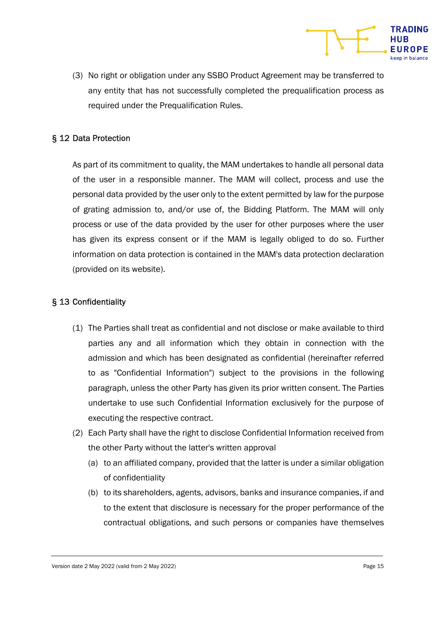

#### § 12 Data Protection

As part of its commitment to quality, the MAM undertakes to handle all personal data of the user in a responsible manner. The MAM will collect, process and use the personal data provided by the user only to the extent permitted by law for the purpose of grating admission to, and/or use of, the Bidding Platform. The MAM will only process or use of the data provided by the user for other purposes where the user has given its express consent or if the MAM is legally obliged to do so. Further information on data protection is contained in the MAM's data protection declaration (provided on its website).

#### § 13 Confidentiality

- (1) The Parties shall treat as confidential and not disclose or make available to third parties any and all information which they obtain in connection with the admission and which has been designated as confidential (hereinafter referred to as "Confidential Information") subject to the provisions in the following paragraph, unless the other Party has given its prior written consent. The Parties undertake to use such Confidential Information exclusively for the purpose of executing the respective contract.
- (2) Each Party shall have the right to disclose Confidential Information received from the other Party without the latter's written approval
	- (a) to an affiliated company, provided that the latter is under a similar obligation of confidentiality
	- (b) to its shareholders, agents, advisors, banks and insurance companies, if and to the extent that disclosure is necessary for the proper performance of the contractual obligations, and such persons or companies have themselves

**TRADING** 

UROPE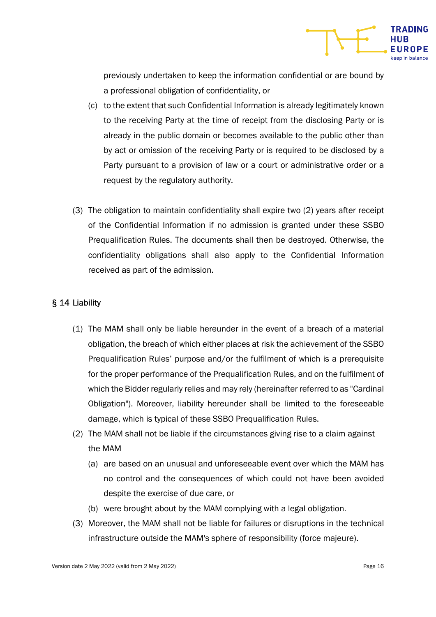

previously undertaken to keep the information confidential or are bound by a professional obligation of confidentiality, or

- (c) to the extent that such Confidential Information is already legitimately known to the receiving Party at the time of receipt from the disclosing Party or is already in the public domain or becomes available to the public other than by act or omission of the receiving Party or is required to be disclosed by a Party pursuant to a provision of law or a court or administrative order or a request by the regulatory authority.
- (3) The obligation to maintain confidentiality shall expire two (2) years after receipt of the Confidential Information if no admission is granted under these SSBO Prequalification Rules. The documents shall then be destroyed. Otherwise, the confidentiality obligations shall also apply to the Confidential Information received as part of the admission.

### § 14 Liability

- (1) The MAM shall only be liable hereunder in the event of a breach of a material obligation, the breach of which either places at risk the achievement of the SSBO Prequalification Rules' purpose and/or the fulfilment of which is a prerequisite for the proper performance of the Prequalification Rules, and on the fulfilment of which the Bidder regularly relies and may rely (hereinafter referred to as "Cardinal Obligation"). Moreover, liability hereunder shall be limited to the foreseeable damage, which is typical of these SSBO Prequalification Rules.
- (2) The MAM shall not be liable if the circumstances giving rise to a claim against the MAM
	- (a) are based on an unusual and unforeseeable event over which the MAM has no control and the consequences of which could not have been avoided despite the exercise of due care, or
	- (b) were brought about by the MAM complying with a legal obligation.
- (3) Moreover, the MAM shall not be liable for failures or disruptions in the technical infrastructure outside the MAM's sphere of responsibility (force majeure).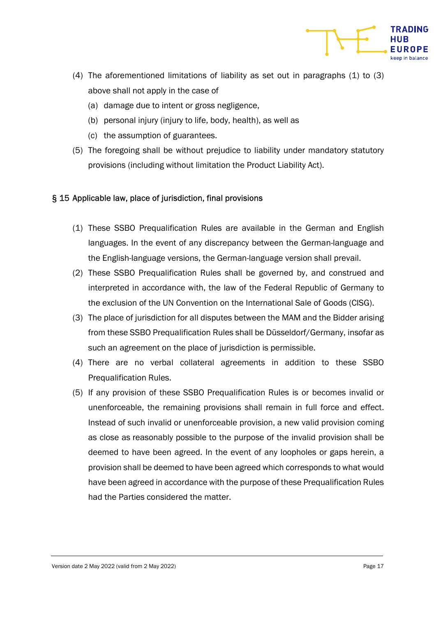

- (4) The aforementioned limitations of liability as set out in paragraphs (1) to (3) above shall not apply in the case of
	- (a) damage due to intent or gross negligence,
	- (b) personal injury (injury to life, body, health), as well as
	- (c) the assumption of guarantees.
- (5) The foregoing shall be without prejudice to liability under mandatory statutory provisions (including without limitation the Product Liability Act).

#### § 15 Applicable law, place of jurisdiction, final provisions

- (1) These SSBO Prequalification Rules are available in the German and English languages. In the event of any discrepancy between the German-language and the English-language versions, the German-language version shall prevail.
- (2) These SSBO Prequalification Rules shall be governed by, and construed and interpreted in accordance with, the law of the Federal Republic of Germany to the exclusion of the UN Convention on the International Sale of Goods (CISG).
- (3) The place of jurisdiction for all disputes between the MAM and the Bidder arising from these SSBO Prequalification Rules shall be Düsseldorf/Germany, insofar as such an agreement on the place of jurisdiction is permissible.
- (4) There are no verbal collateral agreements in addition to these SSBO Prequalification Rules.
- (5) If any provision of these SSBO Prequalification Rules is or becomes invalid or unenforceable, the remaining provisions shall remain in full force and effect. Instead of such invalid or unenforceable provision, a new valid provision coming as close as reasonably possible to the purpose of the invalid provision shall be deemed to have been agreed. In the event of any loopholes or gaps herein, a provision shall be deemed to have been agreed which corresponds to what would have been agreed in accordance with the purpose of these Prequalification Rules had the Parties considered the matter.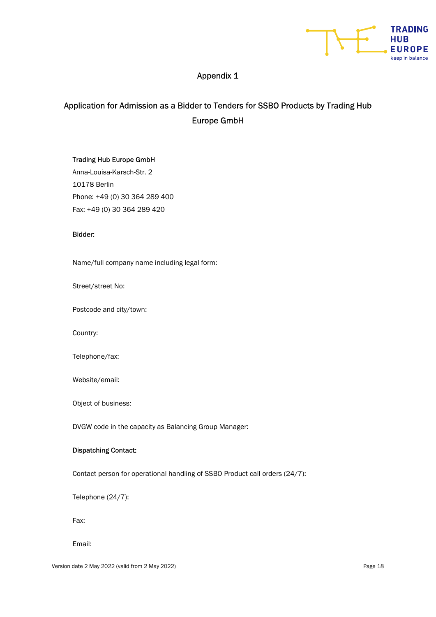

## Appendix 1

## Application for Admission as a Bidder to Tenders for SSBO Products by Trading Hub Europe GmbH

#### Trading Hub Europe GmbH

Anna-Louisa-Karsch-Str. 2 10178 Berlin Phone: +49 (0) 30 364 289 400 Fax: +49 (0) 30 364 289 420

#### Bidder:

Name/full company name including legal form:

Street/street No:

Postcode and city/town:

Country:

Telephone/fax:

Website/email:

Object of business:

DVGW code in the capacity as Balancing Group Manager:

#### Dispatching Contact:

Contact person for operational handling of SSBO Product call orders (24/7):

Telephone (24/7):

Fax:

Email: